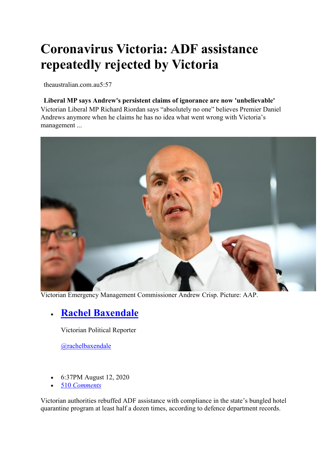# **Coronavirus Victoria: ADF assistance repeatedly rejected by Victoria**

theaustralian.com.au5:57

#### **Liberal MP says Andrew's persistent claims of ignorance are now 'unbelievable'**

Victorian Liberal MP Richard Riordan says "absolutely no one" believes Premier Daniel Andrews anymore when he claims he has no idea what went wrong with Victoria's management ...



Victorian Emergency Management Commissioner Andrew Crisp. Picture: AAP.

# • **Rachel Baxendale**

Victorian Political Reporter

@rachelbaxendale

- 6:37PM August 12, 2020
- 510 *Comments*

Victorian authorities rebuffed ADF assistance with compliance in the state's bungled hotel quarantine program at least half a dozen times, according to defence department records.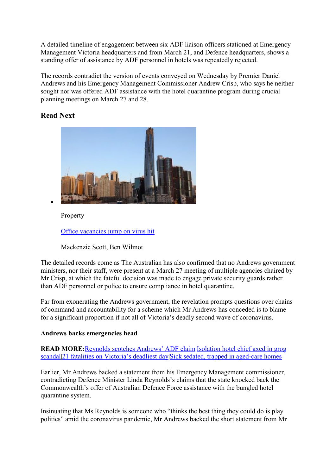A detailed timeline of engagement between six ADF liaison officers stationed at Emergency Management Victoria headquarters and from March 21, and Defence headquarters, shows a standing offer of assistance by ADF personnel in hotels was repeatedly rejected.

The records contradict the version of events conveyed on Wednesday by Premier Daniel Andrews and his Emergency Management Commissioner Andrew Crisp, who says he neither sought nor was offered ADF assistance with the hotel quarantine program during crucial planning meetings on March 27 and 28.

# **Read Next**



Property

Office vacancies jump on virus hit

Mackenzie Scott, Ben Wilmot

The detailed records come as The Australian has also confirmed that no Andrews government ministers, nor their staff, were present at a March 27 meeting of multiple agencies chaired by Mr Crisp, at which the fateful decision was made to engage private security guards rather than ADF personnel or police to ensure compliance in hotel quarantine.

Far from exonerating the Andrews government, the revelation prompts questions over chains of command and accountability for a scheme which Mr Andrews has conceded is to blame for a significant proportion if not all of Victoria's deadly second wave of coronavirus.

## **Andrews backs emergencies head**

**READ MORE:**Reynolds scotches Andrews' ADF claim|Isolation hotel chief axed in grog scandal|21 fatalities on Victoria's deadliest day|Sick sedated, trapped in aged-care homes

Earlier, Mr Andrews backed a statement from his Emergency Management commissioner, contradicting Defence Minister Linda Reynolds's claims that the state knocked back the Commonwealth's offer of Australian Defence Force assistance with the bungled hotel quarantine system.

Insinuating that Ms Reynolds is someone who "thinks the best thing they could do is play politics" amid the coronavirus pandemic, Mr Andrews backed the short statement from Mr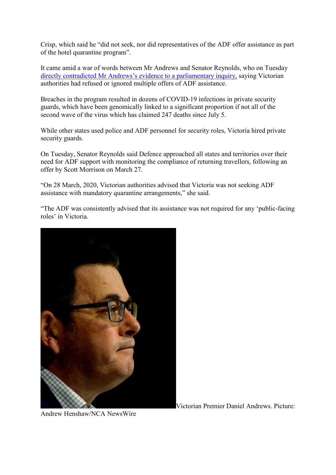Crisp, which said he "did not seek, nor did representatives of the ADF offer assistance as part of the hotel quarantine program".

It came amid a war of words between Mr Andrews and Senator Reynolds, who on Tuesday directly contradicted Mr Andrews's evidence to a parliamentary inquiry, saying Victorian authorities had refused or ignored multiple offers of ADF assistance.

Breaches in the program resulted in dozens of COVID-19 infections in private security guards, which have been genomically linked to a significant proportion if not all of the second wave of the virus which has claimed 247 deaths since July 5.

While other states used police and ADF personnel for security roles, Victoria hired private security guards.

On Tuesday, Senator Reynolds said Defence approached all states and territories over their need for ADF support with monitoring the compliance of returning travellers, following an offer by Scott Morrison on March 27.

"On 28 March, 2020, Victorian authorities advised that Victoria was not seeking ADF assistance with mandatory quarantine arrangements," she said.

"The ADF was consistently advised that its assistance was not required for any 'public-facing roles' in Victoria.



Victorian Premier Daniel Andrews. Picture:

Andrew Henshaw/NCA NewsWire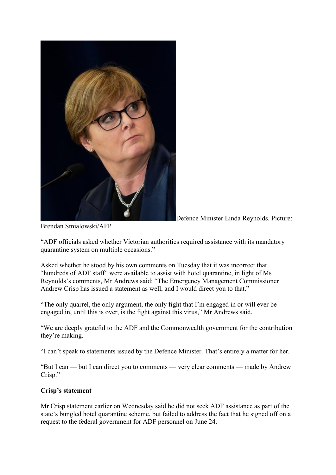

Defence Minister Linda Reynolds. Picture:

Brendan Smialowski/AFP

"ADF officials asked whether Victorian authorities required assistance with its mandatory quarantine system on multiple occasions."

Asked whether he stood by his own comments on Tuesday that it was incorrect that "hundreds of ADF staff" were available to assist with hotel quarantine, in light of Ms Reynolds's comments, Mr Andrews said: "The Emergency Management Commissioner Andrew Crisp has issued a statement as well, and I would direct you to that."

"The only quarrel, the only argument, the only fight that I'm engaged in or will ever be engaged in, until this is over, is the fight against this virus," Mr Andrews said.

"We are deeply grateful to the ADF and the Commonwealth government for the contribution they're making.

"I can't speak to statements issued by the Defence Minister. That's entirely a matter for her.

"But I can — but I can direct you to comments — very clear comments — made by Andrew Crisp."

### **Crisp's statement**

Mr Crisp statement earlier on Wednesday said he did not seek ADF assistance as part of the state's bungled hotel quarantine scheme, but failed to address the fact that he signed off on a request to the federal government for ADF personnel on June 24.